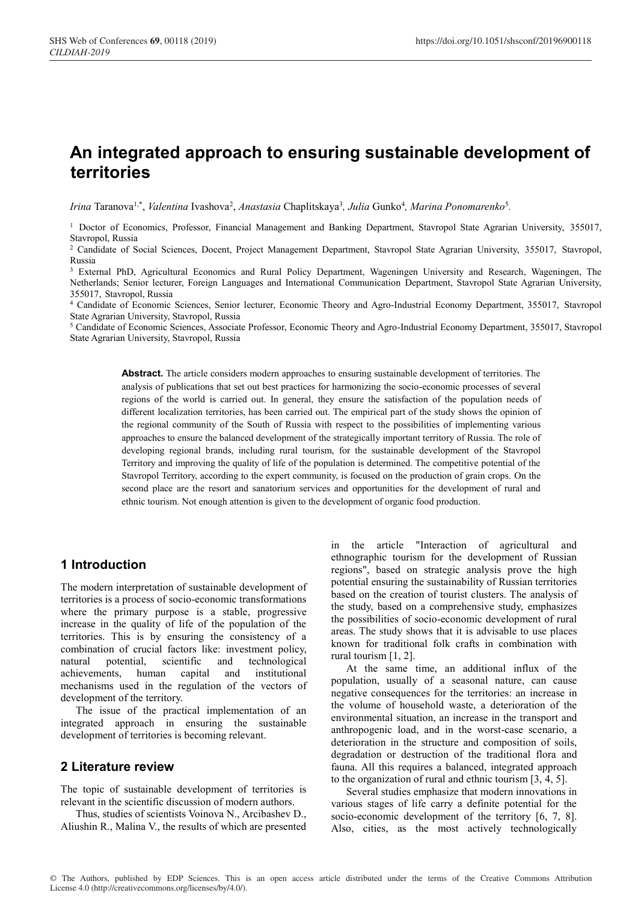# **An integrated approach to ensuring sustainable development of territories**

*Irina* Taranova<sup>1,\*</sup>, *Valentina* Ivashova<sup>2</sup>, *Anastasia* Chaplitskaya<sup>3</sup>, Julia Gunko<sup>4</sup>, *Marina Ponomarenko<sup>5</sup>.* 

<sup>1</sup> Doctor of Economics, Professor, Financial Management and Banking Department, Stavropol State Agrarian University, 355017, Stavropol, Russia

<sup>2</sup> Candidate of Social Sciences, Docent, Project Management Department, Stavropol State Agrarian University, 355017, Stavropol, Russia

<sup>3</sup> External PhD, Agricultural Economics and Rural Policy Department, Wageningen University and Research, Wageningen, The Netherlands; Senior lecturer, Foreign Languages and International Communication Department, Stavropol State Agrarian University, 355017, Stavropol, Russia

<sup>4</sup> Candidate of Economic Sciences, Senior lecturer, Economic Theory and Agro-Industrial Economy Department, 355017, Stavropol State Agrarian University, Stavropol, Russia

<sup>5</sup> Candidate of Economic Sciences, Associate Professor, Economic Theory and Agro-Industrial Economy Department, 355017, Stavropol State Agrarian University, Stavropol, Russia

**Abstract.** The article considers modern approaches to ensuring sustainable development of territories. The analysis of publications that set out best practices for harmonizing the socio-economic processes of several regions of the world is carried out. In general, they ensure the satisfaction of the population needs of different localization territories, has been carried out. The empirical part of the study shows the opinion of the regional community of the South of Russia with respect to the possibilities of implementing various approaches to ensure the balanced development of the strategically important territory of Russia. The role of developing regional brands, including rural tourism, for the sustainable development of the Stavropol Territory and improving the quality of life of the population is determined. The competitive potential of the Stavropol Territory, according to the expert community, is focused on the production of grain crops. On the second place are the resort and sanatorium services and opportunities for the development of rural and ethnic tourism. Not enough attention is given to the development of organic food production.

# **1 Introduction**

The modern interpretation of sustainable development of territories is a process of socio-economic transformations where the primary purpose is a stable, progressive increase in the quality of life of the population of the territories. This is by ensuring the consistency of a combination of crucial factors like: investment policy, natural potential, scientific and technological achievements, human capital and institutional mechanisms used in the regulation of the vectors of development of the territory.

The issue of the practical implementation of an integrated approach in ensuring the sustainable development of territories is becoming relevant.

# **2 Literature review**

The topic of sustainable development of territories is relevant in the scientific discussion of modern authors.

Thus, studies of scientists Voinova N., Arcibashev D., Aliushin R., Malina V., the results of which are presented

in the article "Interaction of agricultural and ethnographic tourism for the development of Russian regions", based on strategic analysis prove the high potential ensuring the sustainability of Russian territories based on the creation of tourist clusters. The analysis of the study, based on a comprehensive study, emphasizes the possibilities of socio-economic development of rural areas. The study shows that it is advisable to use places known for traditional folk crafts in combination with rural tourism [1, 2].

At the same time, an additional influx of the population, usually of a seasonal nature, can cause negative consequences for the territories: an increase in the volume of household waste, a deterioration of the environmental situation, an increase in the transport and anthropogenic load, and in the worst-case scenario, a deterioration in the structure and composition of soils, degradation or destruction of the traditional flora and fauna. All this requires a balanced, integrated approach to the organization of rural and ethnic tourism [3, 4, 5].

Several studies emphasize that modern innovations in various stages of life carry a definite potential for the socio-economic development of the territory [6, 7, 8]. Also, cities, as the most actively technologically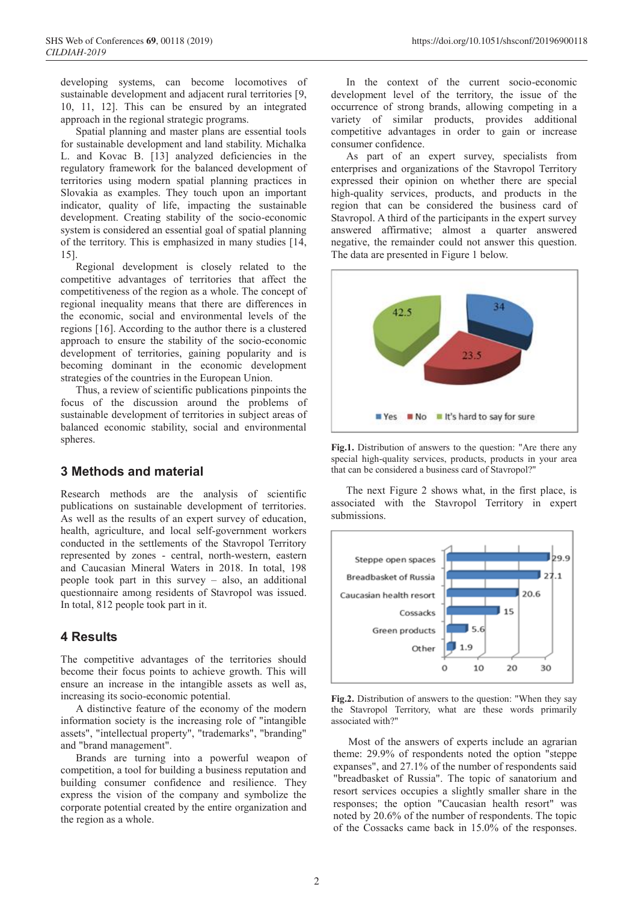developing systems, can become locomotives of sustainable development and adjacent rural territories [9, 10, 11, 12]. This can be ensured by an integrated approach in the regional strategic programs.

Spatial planning and master plans are essential tools for sustainable development and land stability. Michalka L. and Kovac B. [13] analyzed deficiencies in the regulatory framework for the balanced development of territories using modern spatial planning practices in Slovakia as examples. They touch upon an important indicator, quality of life, impacting the sustainable development. Creating stability of the socio-economic system is considered an essential goal of spatial planning of the territory. This is emphasized in many studies [14, 15].

Regional development is closely related to the competitive advantages of territories that affect the competitiveness of the region as a whole. The concept of regional inequality means that there are differences in the economic, social and environmental levels of the regions [16]. According to the author there is a clustered approach to ensure the stability of the socio-economic development of territories, gaining popularity and is becoming dominant in the economic development strategies of the countries in the European Union.

Thus, a review of scientific publications pinpoints the focus of the discussion around the problems of sustainable development of territories in subject areas of balanced economic stability, social and environmental spheres.

## **3 Methods and material**

Research methods are the analysis of scientific publications on sustainable development of territories. As well as the results of an expert survey of education, health, agriculture, and local self-government workers conducted in the settlements of the Stavropol Territory represented by zones - central, north-western, eastern and Caucasian Mineral Waters in 2018. In total, 198 people took part in this survey – also, an additional questionnaire among residents of Stavropol was issued. In total, 812 people took part in it.

# **4 Results**

The competitive advantages of the territories should become their focus points to achieve growth. This will ensure an increase in the intangible assets as well as, increasing its socio-economic potential.

A distinctive feature of the economy of the modern information society is the increasing role of "intangible assets", "intellectual property", "trademarks", "branding" and "brand management".

Brands are turning into a powerful weapon of competition, a tool for building a business reputation and building consumer confidence and resilience. They express the vision of the company and symbolize the corporate potential created by the entire organization and the region as a whole.

In the context of the current socio-economic development level of the territory, the issue of the occurrence of strong brands, allowing competing in a variety of similar products, provides additional competitive advantages in order to gain or increase consumer confidence.

As part of an expert survey, specialists from enterprises and organizations of the Stavropol Territory expressed their opinion on whether there are special high-quality services, products, and products in the region that can be considered the business card of Stavropol. A third of the participants in the expert survey answered affirmative; almost a quarter answered negative, the remainder could not answer this question. The data are presented in Figure 1 below.



**Fig.1.** Distribution of answers to the question: "Are there any special high-quality services, products, products in your area that can be considered a business card of Stavropol?"

The next Figure 2 shows what, in the first place, is associated with the Stavropol Territory in expert submissions.



**Fig.2.** Distribution of answers to the question: "When they say the Stavropol Territory, what are these words primarily associated with?"

Most of the answers of experts include an agrarian theme: 29.9% of respondents noted the option "steppe expanses", and 27.1% of the number of respondents said "breadbasket of Russia". The topic of sanatorium and resort services occupies a slightly smaller share in the responses; the option "Caucasian health resort" was noted by 20.6% of the number of respondents. The topic of the Cossacks came back in 15.0% of the responses.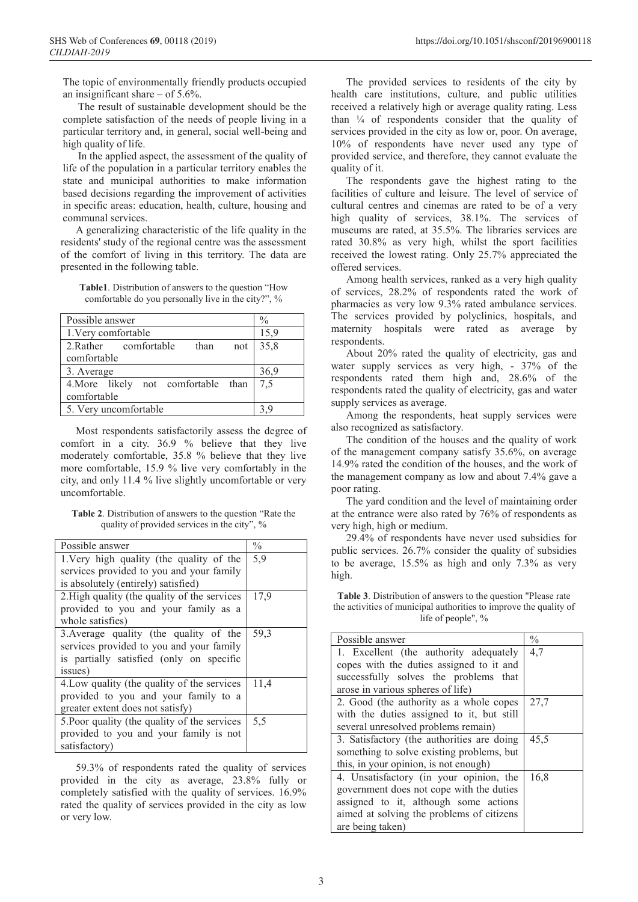The topic of environmentally friendly products occupied an insignificant share  $-$  of 5.6%.

The result of sustainable development should be the complete satisfaction of the needs of people living in a particular territory and, in general, social well-being and high quality of life.

In the applied aspect, the assessment of the quality of life of the population in a particular territory enables the state and municipal authorities to make information based decisions regarding the improvement of activities in specific areas: education, health, culture, housing and communal services.

A generalizing characteristic of the life quality in the residents' study of the regional centre was the assessment of the comfort of living in this territory. The data are presented in the following table.

**Table1**. Distribution of answers to the question "How comfortable do you personally live in the city?", %

| Possible answer                      | $\frac{0}{0}$ |
|--------------------------------------|---------------|
| 1. Very comfortable                  | 15,9          |
| 2. Rather comfortable<br>than<br>not | 35,8          |
| comfortable                          |               |
| 3. Average                           | 36,9          |
| 4. More likely not comfortable than  | 7,5           |
| comfortable                          |               |
| 5. Very uncomfortable                | 39            |

Most respondents satisfactorily assess the degree of comfort in a city. 36.9 % believe that they live moderately comfortable, 35.8 % believe that they live more comfortable, 15.9 % live very comfortably in the city, and only 11.4 % live slightly uncomfortable or very uncomfortable.

**Table 2**. Distribution of answers to the question "Rate the quality of provided services in the city", %

| Possible answer                              | $\frac{0}{0}$ |
|----------------------------------------------|---------------|
| 1. Very high quality (the quality of the     | 5,9           |
| services provided to you and your family     |               |
| is absolutely (entirely) satisfied)          |               |
| 2. High quality (the quality of the services | 17,9          |
| provided to you and your family as a         |               |
| whole satisfies)                             |               |
| 3. Average quality (the quality of the       | 59,3          |
| services provided to you and your family     |               |
| is partially satisfied (only on specific     |               |
| issues)                                      |               |
| 4. Low quality (the quality of the services  | 11,4          |
| provided to you and your family to a         |               |
| greater extent does not satisfy)             |               |
| 5. Poor quality (the quality of the services | 5.5           |
| provided to you and your family is not       |               |
| satisfactory)                                |               |

59.3% of respondents rated the quality of services provided in the city as average, 23.8% fully or completely satisfied with the quality of services. 16.9% rated the quality of services provided in the city as low or very low.

The provided services to residents of the city by health care institutions, culture, and public utilities received a relatively high or average quality rating. Less than  $\frac{1}{4}$  of respondents consider that the quality of services provided in the city as low or, poor. On average, 10% of respondents have never used any type of provided service, and therefore, they cannot evaluate the quality of it.

The respondents gave the highest rating to the facilities of culture and leisure. The level of service of cultural centres and cinemas are rated to be of a very high quality of services, 38.1%. The services of museums are rated, at 35.5%. The libraries services are rated 30.8% as very high, whilst the sport facilities received the lowest rating. Only 25.7% appreciated the offered services.

Among health services, ranked as a very high quality of services, 28.2% of respondents rated the work of pharmacies as very low 9.3% rated ambulance services. The services provided by polyclinics, hospitals, and maternity hospitals were rated as average by respondents.

About 20% rated the quality of electricity, gas and water supply services as very high, - 37% of the respondents rated them high and, 28.6% of the respondents rated the quality of electricity, gas and water supply services as average.

Among the respondents, heat supply services were also recognized as satisfactory.

The condition of the houses and the quality of work of the management company satisfy 35.6%, on average 14.9% rated the condition of the houses, and the work of the management company as low and about 7.4% gave a poor rating.

The yard condition and the level of maintaining order at the entrance were also rated by 76% of respondents as very high, high or medium.

29.4% of respondents have never used subsidies for public services. 26.7% consider the quality of subsidies to be average, 15.5% as high and only 7.3% as very high.

**Table 3**. Distribution of answers to the question "Please rate the activities of municipal authorities to improve the quality of life of people", %

| Possible answer                            | $\frac{0}{0}$ |
|--------------------------------------------|---------------|
| 1. Excellent (the authority adequately     | 4,7           |
| copes with the duties assigned to it and   |               |
| successfully solves the problems that      |               |
| arose in various spheres of life)          |               |
| 2. Good (the authority as a whole copes    | 27,7          |
| with the duties assigned to it, but still  |               |
| several unresolved problems remain)        |               |
| 3. Satisfactory (the authorities are doing | 45,5          |
| something to solve existing problems, but  |               |
| this, in your opinion, is not enough)      |               |
| 4. Unsatisfactory (in your opinion, the    | 16,8          |
| government does not cope with the duties   |               |
| assigned to it, although some actions      |               |
| aimed at solving the problems of citizens  |               |
| are being taken)                           |               |